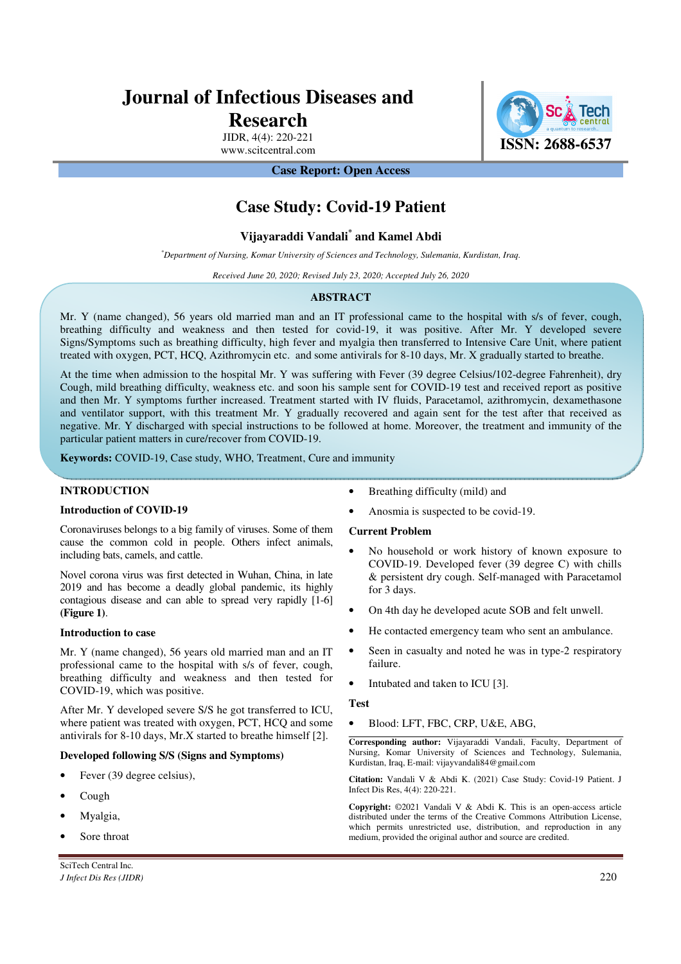# **Journal of Infectious Diseases and**

# **Research**

JIDR, 4(4): 220-221

**ISSN: 2688-6537**<br>www.scitcentral.com **ISSN: 2688-6537** 

## **Case Report: Open Access**

# **Case Study: Covid-19 Patient**

## **Vijayaraddi Vandali\* and Kamel Abdi**

*\*Department of Nursing, Komar University of Sciences and Technology, Sulemania, Kurdistan, Iraq.* 

*Received June 20, 2020; Revised July 23, 2020; Accepted July 26, 2020* 

#### **ABSTRACT**

Mr. Y (name changed), 56 years old married man and an IT professional came to the hospital with s/s of fever, cough, breathing difficulty and weakness and then tested for covid-19, it was positive. After Mr. Y developed severe Signs/Symptoms such as breathing difficulty, high fever and myalgia then transferred to Intensive Care Unit, where patient treated with oxygen, PCT, HCQ, Azithromycin etc. and some antivirals for 8-10 days, Mr. X gradually started to breathe.

At the time when admission to the hospital Mr. Y was suffering with Fever (39 degree Celsius/102-degree Fahrenheit), dry Cough, mild breathing difficulty, weakness etc. and soon his sample sent for COVID-19 test and received report as positive and then Mr. Y symptoms further increased. Treatment started with IV fluids, Paracetamol, azithromycin, dexamethasone and ventilator support, with this treatment Mr. Y gradually recovered and again sent for the test after that received as negative. Mr. Y discharged with special instructions to be followed at home. Moreover, the treatment and immunity of the particular patient matters in cure/recover from COVID-19.

**Keywords:** COVID-19, Case study, WHO, Treatment, Cure and immunity

#### **INTRODUCTION**

#### **Introduction of COVID-19**

Coronaviruses belongs to a big family of viruses. Some of them cause the common cold in people. Others infect animals, including bats, camels, and cattle.

Novel corona virus was first detected in Wuhan, China, in late 2019 and has become a deadly global pandemic, its highly contagious disease and can able to spread very rapidly [1-6] **(Figure 1)**.

#### **Introduction to case**

Mr. Y (name changed), 56 years old married man and an IT professional came to the hospital with s/s of fever, cough, breathing difficulty and weakness and then tested for COVID-19, which was positive.

After Mr. Y developed severe S/S he got transferred to ICU, where patient was treated with oxygen, PCT, HCQ and some antivirals for 8-10 days, Mr.X started to breathe himself [2].

#### **Developed following S/S (Signs and Symptoms)**

- Fever (39 degree celsius),
- Cough
- Myalgia,
- Sore throat
- Breathing difficulty (mild) and
- Anosmia is suspected to be covid-19.

#### **Current Problem**

- No household or work history of known exposure to COVID-19. Developed fever (39 degree C) with chills & persistent dry cough. Self-managed with Paracetamol for 3 days.
- On 4th day he developed acute SOB and felt unwell.
- He contacted emergency team who sent an ambulance.
- Seen in casualty and noted he was in type-2 respiratory failure.
- Intubated and taken to ICU [3].

#### **Test**

• Blood: LFT, FBC, CRP, U&E, ABG,

**Corresponding author:** Vijayaraddi Vandali, Faculty, Department of Nursing, Komar University of Sciences and Technology, Sulemania, Kurdistan, Iraq, E-mail: vijayvandali84@gmail.com

**Citation:** Vandali V & Abdi K. (2021) Case Study: Covid-19 Patient. J Infect Dis Res, 4(4): 220-221.

**Copyright:** ©2021 Vandali V & Abdi K. This is an open-access article distributed under the terms of the Creative Commons Attribution License, which permits unrestricted use, distribution, and reproduction in any medium, provided the original author and source are credited.